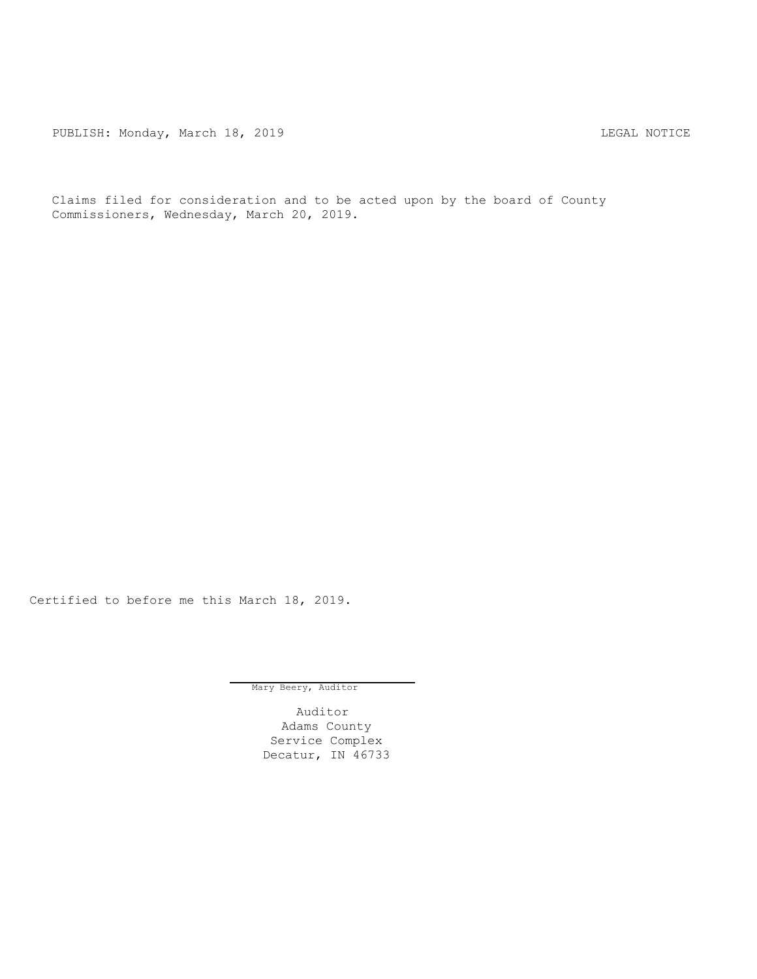PUBLISH: Monday, March 18, 2019 CHANGER AND THE MOTICE

Claims filed for consideration and to be acted upon by the board of County Commissioners, Wednesday, March 20, 2019.

Certified to before me this March 18, 2019.

Mary Beery, Auditor

Auditor Adams County Service Complex Decatur, IN 46733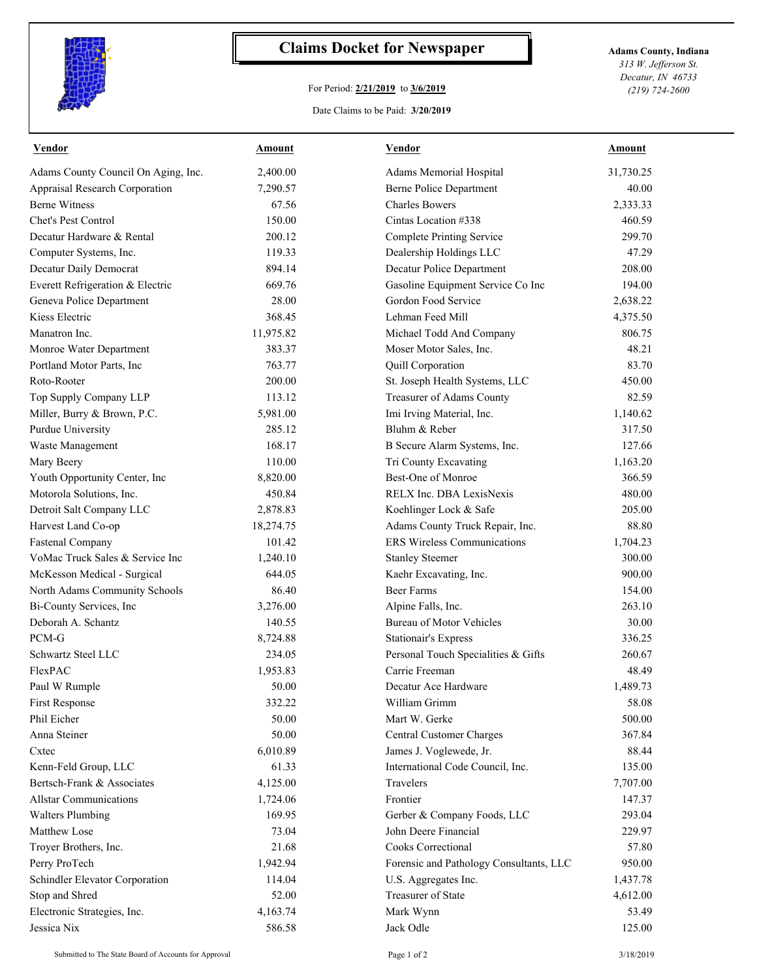

## **Claims Docket for Newspaper Adams County, Indiana**

## For Period: **2/21/2019** to **3/6/2019**

*313 W. Jefferson St. Decatur, IN 46733 (219) 724-2600*

## Date Claims to be Paid: **3/20/2019**

| <b>Vendor</b>                       | <b>Amount</b> | <b>Vendor</b>                           | <b>Amount</b> |
|-------------------------------------|---------------|-----------------------------------------|---------------|
| Adams County Council On Aging, Inc. | 2,400.00      | Adams Memorial Hospital                 | 31,730.25     |
| Appraisal Research Corporation      | 7,290.57      | <b>Berne Police Department</b>          | 40.00         |
| <b>Berne Witness</b>                | 67.56         | <b>Charles Bowers</b>                   | 2,333.33      |
| Chet's Pest Control                 | 150.00        | Cintas Location #338                    | 460.59        |
| Decatur Hardware & Rental           | 200.12        | <b>Complete Printing Service</b>        | 299.70        |
| Computer Systems, Inc.              | 119.33        | Dealership Holdings LLC                 | 47.29         |
| Decatur Daily Democrat              | 894.14        | Decatur Police Department               | 208.00        |
| Everett Refrigeration & Electric    | 669.76        | Gasoline Equipment Service Co Inc       | 194.00        |
| Geneva Police Department            | 28.00         | Gordon Food Service                     | 2,638.22      |
| Kiess Electric                      | 368.45        | Lehman Feed Mill                        | 4,375.50      |
| Manatron Inc.                       | 11,975.82     | Michael Todd And Company                | 806.75        |
| Monroe Water Department             | 383.37        | Moser Motor Sales, Inc.                 | 48.21         |
| Portland Motor Parts, Inc           | 763.77        | Quill Corporation                       | 83.70         |
| Roto-Rooter                         | 200.00        | St. Joseph Health Systems, LLC          | 450.00        |
| Top Supply Company LLP              | 113.12        | Treasurer of Adams County               | 82.59         |
| Miller, Burry & Brown, P.C.         | 5,981.00      | Imi Irving Material, Inc.               | 1,140.62      |
| Purdue University                   | 285.12        | Bluhm & Reber                           | 317.50        |
| Waste Management                    | 168.17        | B Secure Alarm Systems, Inc.            | 127.66        |
| Mary Beery                          | 110.00        | Tri County Excavating                   | 1,163.20      |
| Youth Opportunity Center, Inc       | 8,820.00      | Best-One of Monroe                      | 366.59        |
| Motorola Solutions, Inc.            | 450.84        | RELX Inc. DBA LexisNexis                | 480.00        |
| Detroit Salt Company LLC            | 2,878.83      | Koehlinger Lock & Safe                  | 205.00        |
| Harvest Land Co-op                  | 18,274.75     | Adams County Truck Repair, Inc.         | 88.80         |
| <b>Fastenal Company</b>             | 101.42        | <b>ERS Wireless Communications</b>      | 1,704.23      |
| VoMac Truck Sales & Service Inc     | 1,240.10      | <b>Stanley Steemer</b>                  | 300.00        |
| McKesson Medical - Surgical         | 644.05        | Kaehr Excavating, Inc.                  | 900.00        |
| North Adams Community Schools       | 86.40         | <b>Beer Farms</b>                       | 154.00        |
| Bi-County Services, Inc             | 3,276.00      | Alpine Falls, Inc.                      | 263.10        |
| Deborah A. Schantz                  | 140.55        | <b>Bureau of Motor Vehicles</b>         | 30.00         |
| PCM-G                               | 8,724.88      | <b>Stationair's Express</b>             | 336.25        |
| Schwartz Steel LLC                  | 234.05        | Personal Touch Specialities & Gifts     | 260.67        |
| FlexPAC                             | 1,953.83      | Carrie Freeman                          | 48.49         |
| Paul W Rumple                       | 50.00         | Decatur Ace Hardware                    | 1,489.73      |
| First Response                      | 332.22        | William Grimm                           | 58.08         |
| Phil Eicher                         | 50.00         | Mart W. Gerke                           | 500.00        |
| Anna Steiner                        | 50.00         | Central Customer Charges                | 367.84        |
| Cxtec                               | 6,010.89      | James J. Voglewede, Jr.                 | 88.44         |
| Kenn-Feld Group, LLC                | 61.33         | International Code Council, Inc.        | 135.00        |
| Bertsch-Frank & Associates          | 4,125.00      | Travelers                               | 7,707.00      |
| <b>Allstar Communications</b>       | 1,724.06      | Frontier                                | 147.37        |
| <b>Walters Plumbing</b>             | 169.95        | Gerber & Company Foods, LLC             | 293.04        |
| Matthew Lose                        | 73.04         | John Deere Financial                    | 229.97        |
| Troyer Brothers, Inc.               | 21.68         | Cooks Correctional                      | 57.80         |
|                                     | 1,942.94      |                                         | 950.00        |
| Perry ProTech                       |               | Forensic and Pathology Consultants, LLC |               |
| Schindler Elevator Corporation      | 114.04        | U.S. Aggregates Inc.                    | 1,437.78      |
| Stop and Shred                      | 52.00         | Treasurer of State                      | 4,612.00      |
| Electronic Strategies, Inc.         | 4,163.74      | Mark Wynn                               | 53.49         |
| Jessica Nix                         | 586.58        | Jack Odle                               | 125.00        |